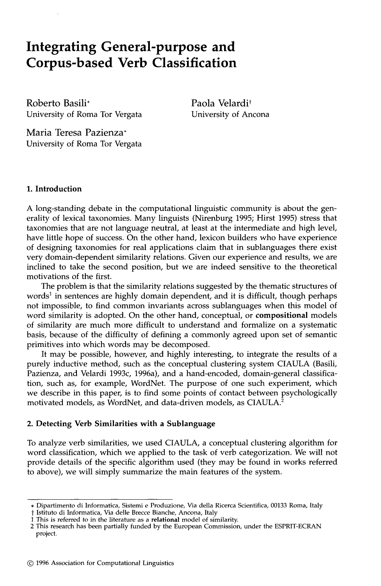# **Integrating General-purpose and Corpus-based Verb Classification**

Roberto Basili\* University of Roma Tor Vergata Paola Velardi<sup>†</sup> University of Ancona

Maria Teresa Pazienza\* University of Roma Tor Vergata

# **1. Introduction**

A long-standing debate in the computational linguistic community is about the generality of lexical taxonomies. Many linguists (Nirenburg 1995; Hirst 1995) stress that taxonomies that are not language neutral, at least at the intermediate and high level, have little hope of success. On the other hand, lexicon builders who have experience of designing taxonomies for real applications claim that in sublanguages there exist very domain-dependent similarity relations. Given our experience and results, we are inclined to take the second position, but we are indeed sensitive to the theoretical motivations of the first.

The problem is that the similarity relations suggested by the thematic structures of words<sup>1</sup> in sentences are highly domain dependent, and it is difficult, though perhaps not impossible, to find common invariants across sublanguages when this model of word similarity is adopted. On the other hand, conceptual, or **compositional** models of similarity are much more difficult to understand and formalize on a systematic basis, because of the difficulty of defining a commonly agreed upon set of semantic primitives into which words may be decomposed.

It may be possible, however, and highly interesting, to integrate the results of a purely inductive method, such as the conceptual clustering system CIAULA (Basili, Pazienza, and Velardi 1993c, 1996a), and a hand-encoded, domain-general classification, such as, for example, WordNet. The purpose of one such experiment, which we describe in this paper, is to find some points of contact between psychologically motivated models, as WordNet, and data-driven models, as CIAULA.<sup>2</sup>

## **2. Detecting Verb Similarities with a Sublanguage**

To analyze verb similarities, we used CIAULA, a conceptual clustering algorithm for word classification, which we applied to the task of verb categorization. We will not provide details of the specific algorithm used (they may be found in works referred to above), we will simply summarize the main features of the system.

<sup>\*</sup> Dipartimento di Informatica, Sistemi e Produzione, Via della Ricerca Scientifica, 00133 Roma, Italy

t Istituto di Informatica, Via delle Brecce Bianche, Ancona, Italy

This is referred to in the literature as a relational model of similarity.

<sup>2</sup> This research has been partially funded by the European Commission, under the ESPRIT-ECRAN project.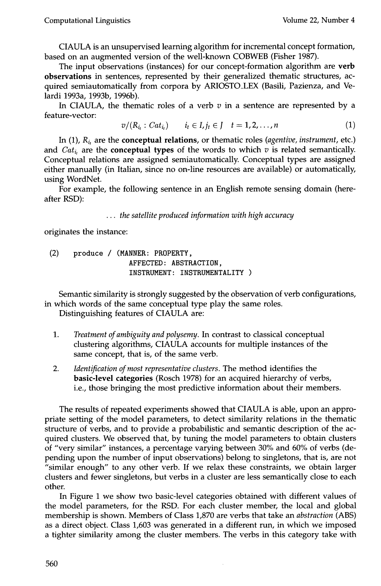CIAULA is an unsupervised learning algorithm for incremental concept formation, based on an augmented version of the well-known COBWEB (Fisher 1987).

The input observations (instances) for our concept-formation algorithm are verb observations in sentences, represented by their generalized thematic structures, acquired semiautomatically from corpora by ARIOSTO\_LEX (Basili, Pazienza, and Velardi 1993a, 1993b, 1996b).

In CIAULA, the thematic roles of a verb  $v$  in a sentence are represented by a feature-vector:

$$
v/(R_{i_t}:Cat_{i_t}) \qquad i_t \in I, j_t \in J \quad t = 1, 2, ..., n
$$
 (1)

In (1), *Ri,* are the conceptual relations, or thematic roles *(agentive, instrument,* etc.) and  $Cat_{i}$  are the **conceptual types** of the words to which v is related semantically. Conceptual relations are assigned semiautomatically. Conceptual types are assigned either manually (in Italian, since no on-line resources are available) or automatically, using WordNet.

For example, the following sentence in an English remote sensing domain (hereafter RSD):

*... the satellite produced information with high accuracy* 

originates the instance:

(2) produce / **(MANNER: PROPERTY,**  AFFECTED: ABSTRACTION, INSTRUMENT: INSTRUMENTALITY )

Semantic similarity is strongly suggested by the observation of verb configurations, in which words of the same conceptual type play the same roles.

Distinguishing features of CIAULA are:

- . *Treatment of ambiguity and polysemy. In* contrast to classical conceptual clustering algorithms, CIAULA accounts for multiple instances of the same concept, that is, of the same verb.
- 2. Identification of most representative clusters. The method identifies the basic-level categories (Rosch 1978) for an acquired hierarchy of verbs, i.e., those bringing the most predictive information about their members.

The results of repeated experiments showed that CIAULA is able, upon an appropriate setting of the model parameters, to detect similarity relations in the thematic structure of verbs, and to provide a probabilistic and semantic description of the acquired clusters. We observed that, by tuning the model parameters to obtain clusters of "very similar" instances, a percentage varying between 30% and 60% of verbs (depending upon the number of input observations) belong to singletons, that is, are not "similar enough" to any other verb. If we relax these constraints, we obtain larger clusters and fewer singletons, but verbs in a cluster are less semantically close to each other.

In Figure 1 we show two basic-level categories obtained with different values of the model parameters, for the RSD. For each cluster member, the local and global membership is shown. Members of Class 1,870 are verbs that take an *abstraction* (ABS) as a direct object. Class 1,603 was generated in a different run, in which we imposed a tighter similarity among the cluster members. The verbs in this category take with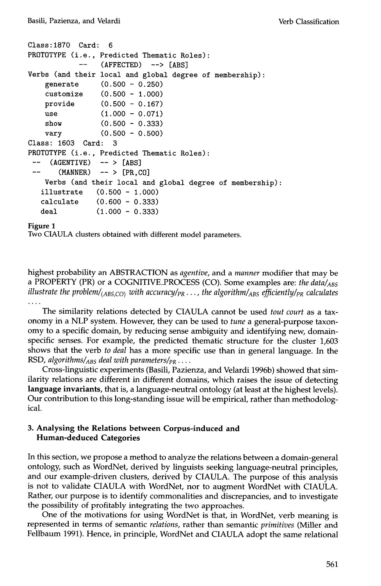```
Class:1870 Card:6 
PROTOTYPE (i.e., 
Predicted Thematic Roles): 
            ---(AFFECTED) --> [ABS] 
Verbs (and their 
local and global degree of membership): 
    generate 
                  (0.500 - 0 
250) 
    customize 
                  (0.500 - 1 
ooo) 
    provide 
                  (0.500 - 0 
167) 
    use 
                  (1.000 - 0 
071) 
    show 
                  (0.500 - 0 
333) 
    vary 
                  (0.500 - 0 
5oo) 
Class: 1603 Card: 3 
PROTOTYPE (i.e., Predicted Thematic Roles): 
     (AGENTIVE) -- > [ABS](MANNER) -- > [PR, CO]Verbs (and their local and global degree of membership): 
   illustrate (0.500 - 1.000) 
   calculate (0.600 - 0.333) 
   deal (1.000 - 0.333)
```
## **Figure 1**

Two CIAULA clusters obtained with different model parameters.

highest probability an ABSTRACTION as *agentive,* and a *manner* modifier that may be a PROPERTY (PR) or a COGNITIVE\_PROCESS (CO). Some examples are: *the data/<sub>ABS</sub> illustrate the problem/*( $_{ABS,CO}$ ) with accuracy/ $_{PR}$ ..., the algorithm/ $_{ABS}$  efficiently/ $_{PR}$  calculates

The similarity relations detected by CIAULA cannot be used *tout court* as a taxonomy in a NLP system. However, they can be used to *tune* a general-purpose taxonomy to a specific domain, by reducing sense ambiguity and identifying new, domainspecific senses. For example, the predicted thematic structure for the cluster 1,603 shows that the verb *to deal* has a more specific use than in general language. In the RSD, *algorithms/ABS deal with parameters/pa ....* 

Cross-linguistic experiments (Basili, Pazienza, and Velardi 1996b) showed that similarity relations are different in different domains, which raises the issue of detecting **language invariants,** that is, a language-neutral ontology (at least at the highest levels). Our contribution to this long-standing issue will be empirical, rather than methodological.

## **3. Analysing the Relations between Corpus-induced and Human-deduced Categories**

In this section, we propose a method to analyze the relations between a domain-general ontology, such as WordNet, derived by linguists seeking language-neutral principles, and our example-driven clusters, derived by CIAULA. The purpose of this analysis is not to validate CIAULA with WordNet, nor to augment WordNet with CIAULA. Rather, our purpose is to identify commonalities and discrepancies, and to investigate the possibility of profitably integrating the two approaches.

One of the motivations for using WordNet is that, in WordNet, verb meaning is represented in terms of semantic *relations,* rather than semantic *primitives* (Miller and Fellbaum 1991). Hence, in principle, WordNet and CIAULA adopt the same relational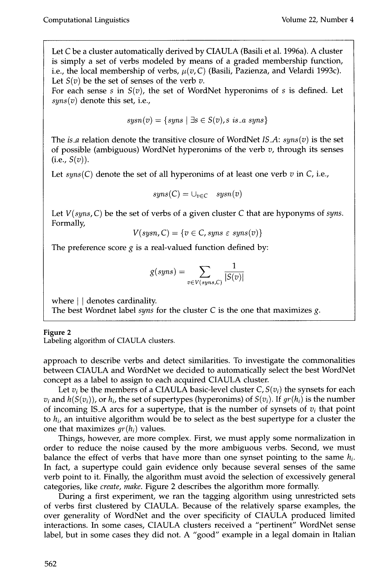Let C be a cluster automatically derived by CIAULA (Basili et al. 1996a). A cluster is simply a set of verbs modeled by means of a graded membership function, i.e., the local membership of verbs,  $\mu(v, C)$  (Basili, Pazienza, and Velardi 1993c). Let  $S(v)$  be the set of senses of the verb v.

For each sense  $s$  in  $S(v)$ , the set of WordNet hyperonims of  $s$  is defined. Let *syns(v)* denote this set, i.e.,

$$
sysn(v) = \{sys \mid \exists s \in S(v), s \ is \ a \ sys \}
$$

The *is\_a* relation denote the transitive closure of WordNet *IS\_A: syns(v)* is the set of possible (ambiguous) WordNet hyperonims of the verb  $v$ , through its senses  $(i.e., S(v)).$ 

Let  $syns(C)$  denote the set of all hyperonims of at least one verb  $v$  in  $C$ , i.e.,

$$
syns(C) = \cup_{v \in C} \quad syn(v)
$$

Let *V(syns, C)* be the set of verbs of a given cluster C that are hyponyms of *syns.*  Formally,

$$
V(sysn, C) = \{v \in C, syns \in syns(v)\}\
$$

The preference score  $g$  is a real-valued function defined by:

$$
g(syns) = \sum_{v \in V(syns,C)} \frac{1}{|S(v)|}
$$

where  $\vert \cdot \vert$  denotes cardinality.

The best Wordnet label *syns* for the cluster C is the one that maximizes g.

## **Figure 2**

Labeling algorithm of CIAULA clusters.

approach to describe verbs and detect similarities. To investigate the commonalities between CIAULA and WordNet we decided to automatically select the best WordNet concept as a label to assign to each acquired CIAULA cluster.

Let  $v_i$  be the members of a CIAULA basic-level cluster  $C, S(v_i)$  the synsets for each  $v_i$  and  $h(S(v_i))$ , or  $h_i$ , the set of supertypes (hyperonims) of  $S(v_i)$ . If  $gr(h_i)$  is the number of incoming IS\_A arcs for a supertype, that is the number of synsets of  $v_i$  that point to *hi,* an intuitive algorithm would be to select as the best supertype for a cluster the one that maximizes  $gr(h_i)$  values.

Things, however, are more complex. First, we must apply some normalization in order to reduce the noise caused by the more ambiguous verbs. Second, we must balance the effect of verbs that have more than one synset pointing to the same *hi.*  In fact, a supertype could gain evidence only because several senses of the same verb point to it. Finally, the algorithm must avoid the selection of excessively general categories, like *create, make.* Figure 2 describes the algorithm more formally.

During a first experiment, we ran the tagging algorithm using unrestricted sets of verbs first clustered by CIAULA. Because of the relatively sparse examples, the over generality of WordNet and the over specificity of CIAULA produced limited interactions. In some cases, CIAULA clusters received a "pertinent" WordNet sense label, but in some cases they did not. A "good" example in a legal domain in Italian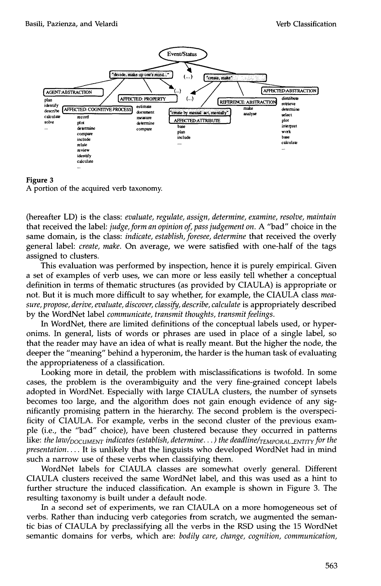



(hereafter LD) is the class: *evaluate, regulate, assign, determine, examine, resolve, maintain*  that received the label: *judge, form an opinion of, pass judgement on.* A "bad" choice in the same domain, is the class: *indicate, establish, foresee, determine* that received the overly general label: *create, make.* On average, we were satisfied with one-half of the tags assigned to clusters.

This evaluation was performed by inspection, hence it is purely empirical. Given a set of examples of verb uses, we can more or less easily tell whether a conceptual definition in terms of thematic structures (as provided by CIAULA) is appropriate or not. But it is much more difficult to say whether, for example, the CIAULA class *measure, propose, derive, evaluate, discover, classify, describe, calculate* is appropriately described by the WordNet label *communicate, transmit thoughts, transmit feelings.* 

In WordNet, there are limited definitions of the conceptual labels used, or hyperonims. In general, lists of words or phrases are used in place of a single label, so that the reader may have an idea of what is really meant. But the higher the node, the deeper the "meaning" behind a hyperonim, the harder is the human task of evaluating the appropriateness of a classification.

Looking more in detail, the problem with misclassifications is twofold. In some cases, the problem is the overambiguity and the very fine-grained concept labels adopted in WordNet. Especially with large CIAULA clusters, the number of synsets becomes too large, and the algorithm does not gain enough evidence of any significantly promising pattern in the hierarchy. The second problem is the overspecificity of CIAULA. For example, verbs in the second cluster of the previous example (i.e., the "bad" choice), have been clustered because they occurred in patterns like: *the law/<sub>DOCUMENT</sub> indicates (establish, determine...) the deadline/<sub>TEMPORAL\_ENTITY</sub> for the presentation ....* It is unlikely that the linguists who developed WordNet had in mind such a narrow use of these verbs when classifying them.

WordNet labels for CIAULA classes are somewhat overly general. Different CIAULA clusters received the same WordNet label, and this was used as a hint to further structure the induced classification. An example is shown in Figure 3. The resulting taxonomy is built under a default node.

In a second set of experiments, we ran CIAULA on a more homogeneous set of verbs. Rather than inducing verb categories from scratch, we augmented the semantic bias of CIAULA by preclassifying all the verbs in the RSD using the 15 WordNet semantic domains for verbs, which are: *bodily care, change, cognition, communication,*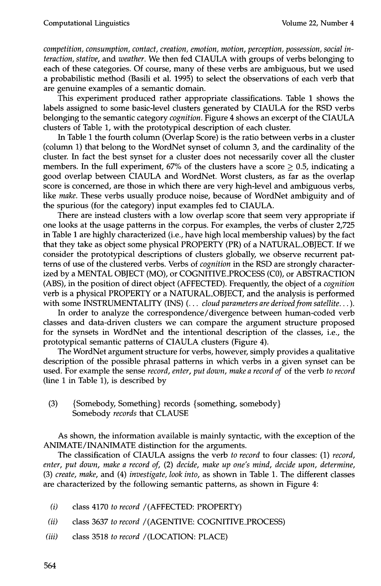*competition, consumption, contact, creation, emotion, motion, perception, possession, social interaction, stative,* and *weather.* We then fed CIAULA with groups of verbs belonging to each of these categories. Of course, many of these verbs are ambiguous, but we used a probabilistic method (Basili et al. 1995) to select the observations of each verb that are genuine examples of a semantic domain.

This experiment produced rather appropriate classifications. Table 1 shows the labels assigned to some basic-level clusters generated by CIAULA for the RSD verbs belonging to the semantic category *cognition.* Figure 4 shows an excerpt of the CIAULA clusters of Table 1, with the prototypical description of each cluster.

In Table I the fourth column (Overlap Score) is the ratio between verbs in a cluster (column 1) that belong to the WordNet synset of column 3, and the cardinality of the cluster. In fact the best synset for a cluster does not necessarily cover all the cluster members. In the full experiment, 67% of the clusters have a score  $\geq$  0.5, indicating a good overlap between CIAULA and WordNet. Worst clusters, as far as the overlap score is concerned, are those in which there are very high-level and ambiguous verbs, like *make.* These verbs usually produce noise, because of WordNet ambiguity and of the spurious (for the category) input examples fed to CIAULA.

There are instead clusters with a low overlap score that seem very appropriate if one looks at the usage patterns in the corpus. For examples, the verbs of cluster 2,725 in Table I are highly characterized (i.e., have high local membership values) by the fact that they take as object some physical PROPERTY (PR) of a NATURAL\_OBJECT. If we consider the prototypical descriptions of clusters globally, we observe recurrent patterns of use of the clustered verbs. Verbs of *cognition in* the RSD are strongly characterized by a MENTAL OBJECT (MO), or COGNITIVE\_PROCESS (CO), or ABSTRACTION (ABS), in the position of direct object (AFFECTED). Frequently, the object of a *cognition*  verb is a physical PROPERTY or a NATURAL\_OBJECT, and the analysis is performed with some INSTRUMENTALITY (INS) (... *cloud parameters are derived from satellite... ).* 

In order to analyze the correspondence/divergence between human-coded verb classes and data-driven clusters we can compare the argument structure proposed for the synsets in WordNet and the intentional description of the classes, i.e., the prototypical semantic patterns of CIAULA clusters (Figure 4).

The WordNet argument structure for verbs, however, simply provides a qualitative description of the possible phrasal patterns in which verbs in a given synset can be used. For example the sense *record, enter, put down, make a record of* of the verb *to record*  (line 1 in Table 1), is described by

(3) {Somebody, Something} records {something, somebody} Somebody *records* that CLAUSE

As shown, the information available is mainly syntactic, with the exception of the ANIMATE/INANIMATE distinction for the arguments.

The classification of CIAULA assigns the verb *to record* to four classes: (1) *record, enter, put down, make a record of,* (2) *decide, make up one's mind, decide upon, determine,*  (3) *create, make,* and (4) *investigate, look into,* as shown in Table 1. The different classes are characterized by the following semantic patterns, as shown in Figure 4:

- *(i)*  class 4170 *to record/(AFFECTED:* PROPERTY)
- *(ii)*  class 3637 *to record/(AGENTIVE:* COGNITWE\_PROCESS)
- *(iii)*  class 3518 *to record* /(LOCATION: PLACE)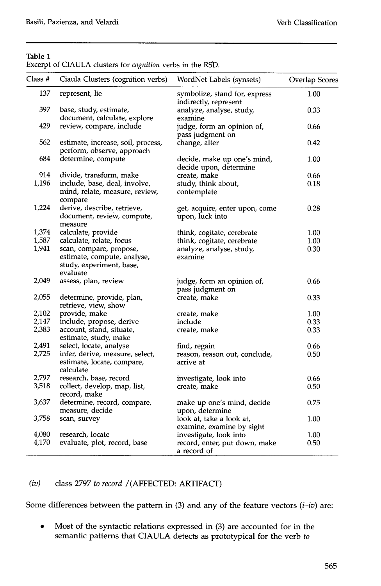# **Table 1**

Excerpt of CIAULA clusters for *cognition* verbs in the RSD.

| Class # | Ciaula Clusters (cognition verbs)                                          | WordNet Labels (synsets)                               | <b>Overlap Scores</b> |
|---------|----------------------------------------------------------------------------|--------------------------------------------------------|-----------------------|
| 137     | represent, lie                                                             | symbolize, stand for, express<br>indirectly, represent | 1.00                  |
| 397     | base, study, estimate,<br>document, calculate, explore                     | analyze, analyse, study,<br>examine                    | 0.33                  |
| 429     | review, compare, include                                                   | judge, form an opinion of,<br>pass judgment on         | 0.66                  |
| 562     | estimate, increase, soil, process,<br>perform, observe, approach           | change, alter                                          | 0.42                  |
| 684     | determine, compute                                                         | decide, make up one's mind,<br>decide upon, determine  | 1.00                  |
| 914     | divide, transform, make                                                    | create, make                                           | 0.66                  |
| 1,196   | include, base, deal, involve,                                              | study, think about,                                    | 0.18                  |
|         | mind, relate, measure, review,<br>compare                                  | contemplate                                            |                       |
| 1,224   | derive, describe, retrieve,<br>document, review, compute,<br>measure       | get, acquire, enter upon, come<br>upon, luck into      | 0.28                  |
| 1,374   | calculate, provide                                                         | think, cogitate, cerebrate                             | 1.00                  |
| 1,587   | calculate, relate, focus                                                   | think, cogitate, cerebrate                             | 1.00                  |
| 1,941   | scan, compare, propose,                                                    | analyze, analyse, study,                               | 0.30                  |
|         | estimate, compute, analyse,<br>study, experiment, base,<br>evaluate        | examine                                                |                       |
| 2,049   | assess, plan, review                                                       | judge, form an opinion of,<br>pass judgment on         | 0.66                  |
| 2,055   | determine, provide, plan,<br>retrieve, view, show                          | create, make                                           | 0.33                  |
| 2,102   | provide, make                                                              | create, make                                           | 1.00                  |
| 2,147   | include, propose, derive                                                   | include                                                | 0.33                  |
| 2,383   | account, stand, situate,<br>estimate, study, make                          | create, make                                           | 0.33                  |
| 2,491   | select, locate, analyse                                                    | find, regain                                           | 0.66                  |
| 2,725   | infer, derive, measure, select,<br>estimate, locate, compare,<br>calculate | reason, reason out, conclude,<br>arrive at             | 0.50                  |
| 2,797   | research, base, record                                                     | investigate, look into                                 | 0.66                  |
| 3,518   | collect, develop, map, list,<br>record, make                               | create, make                                           | 0.50                  |
| 3,637   | determine, record, compare,<br>measure, decide                             | make up one's mind, decide<br>upon, determine          | 0.75                  |
| 3,758   | scan, survey                                                               | look at, take a look at,<br>examine, examine by sight  | 1.00                  |
| 4,080   | research, locate                                                           | investigate, look into                                 | 1.00                  |
| 4,170   | evaluate, plot, record, base                                               | record, enter, put down, make<br>a record of           | 0.50                  |

# *(iv)* class 2797 *to record/(AFFECTED:* ARTIFACT)

Some differences between the pattern in (3) and any of the feature vectors  $(i-iv)$  are:

• Most of the syntactic relations expressed in (3) are accounted for in the semantic patterns that CIAULA detects as prototypical for the verb *to*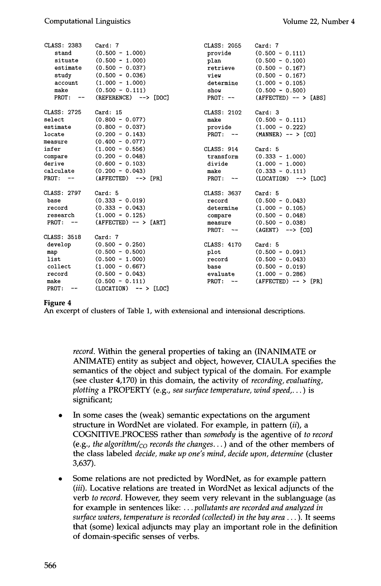| CLASS: 2383    | Card: 7                   | CLASS: 2055  | Card: 7                      |
|----------------|---------------------------|--------------|------------------------------|
| stand          | $(0.500 - 1.000)$         | provide      | $(0.500 - 0.111)$            |
| situate        | $(0.500 - 1.000)$         | plan         | $(0.500 - 0.100)$            |
| estimate       | $(0.500 - 0.037)$         | retrieve     | $(0.500 - 0.167)$            |
| study          | $(0.500 - 0.036)$         | view         | $(0.500 - 0.167)$            |
| account        | $(1.000 - 1.000)$         | determine    | $(1.000 - 0.105)$            |
| make           | $(0.500 - 0.111)$         | show         | $(0.500 - 0.500)$            |
| $PROT: --$     | $(REFERENCE)$ --> $[DOC]$ | $PROT: --$   | $(AFFECTED)$ -- > $[ABS]$    |
| CLASS: 2725    | Card: 15                  | CLASS: 2102  | Card:3                       |
| select         | $(0.800 - 0.077)$         | make         | $(0.500 - 0.111)$            |
| estimate       | $(0.800 - 0.037)$         | provide      | $(1.000 - 0.222)$            |
| locate         | $(0.200 - 0.143)$         | $PROT: --$   | $(MANNER)$ -- > $[CO]$       |
| measure        | $(0.400 - 0.077)$         |              |                              |
| infer          | $(1.000 - 0.556)$         | CLASS: 914   | Card: 5                      |
| compare        | $(0.200 - 0.048)$         | transform    | $(0.333 - 1.000)$            |
| derive         | $(0.600 - 0.103)$         | divide       | $(1.000 - 1.000)$            |
| calculate      | $(0.200 - 0.043)$         | make         | $(0.333 - 0.111)$            |
| $PROT:$ --     | $(AFFECTED)$ --> $[PR]$   | $PROT: --$   | $(LOCATION)$ --> $[LOC]$     |
| CLASS: 2797    | Card: 5                   | CLASS: 3637  | Card: 5                      |
| base           | $(0.333 - 0.019)$         | record       | $(0.500 - 0.043)$            |
| record         | $(0.333 - 0.043)$         | determine    | $(1.000 - 0.105)$            |
| research       | $(1.000 - 0.125)$         | compare      | $(0.500 - 0.048)$            |
| $PROT:$ --     | $(AFFECTED)$ -- > [ART]   | measure      | $(0.500 - 0.038)$            |
|                |                           | $PROT: --$   | (AGENT)<br>$\leftarrow$ [CO] |
| CLASS: 3518    | Card: 7                   |              |                              |
| develop        | $(0.500 - 0.250)$         | CLASS: 4170  | Card: 5                      |
| map            | $(0.500 - 0.500)$         | plot         | $(0.500 - 0.091)$            |
| list           | $(0.500 - 1.000)$         | record       | $(0.500 - 0.043)$            |
| collect        | $(1.000 - 0.667)$         | base         | $(0.500 - 0.019)$            |
| record         | $(0.500 - 0.043)$         | evaluate     | $(1.000 - 0.286)$            |
| make           | $(0.500 - 0.111)$         | PROT:<br>$-$ | $(AFFECTED)$ -- > [PR]       |
| PROT:<br>$- -$ | $(LOCATION)$ -- > $[LOC]$ |              |                              |

## **Figure 4**

**An excerpt of clusters of Table 1, with extensional and intensional descriptions.** 

*record.* **Within the general properties of taking an (INANIMATE or ANIMATE) entity as subject and object, however, CIAULA specifies the semantics of the object and subject typical of the domain. For example (see cluster 4,170) in this domain, the activity of** *recording, evaluating, plotting* **a PROPERTY (e.g.,** *sea surface temperature, wind speed* **.... ) is significant;** 

- **In some cases the (weak) semantic expectations on the argument**   $\bullet$ **structure in WordNet are violated. For example, in pattern (ii), a COGNITIVE\_PROCESS rather than** *somebody* **is the agentive of** *to record*  (e.g., *the algorithm/<sub>CO</sub> records the changes...*) and of the other members of **the class labeled** *decide, make up one's mind, decide upon, determine* **(cluster**  3,637).
- **Some relations are not predicted by WordNet, as for example pattern**  *(iii).* **Locative relations are treated in WordNet as lexical adjuncts of the verb** *to record.* **However, they seem very relevant in the sublanguage (as for example in sentences like: ...** *pollutants are recorded and analyzed in surface waters, temperature is recorded (collected) in the bay area ... ).* **It seems that (some) lexical adjuncts may play an important role in the definition of domain-specific senses of verbs.**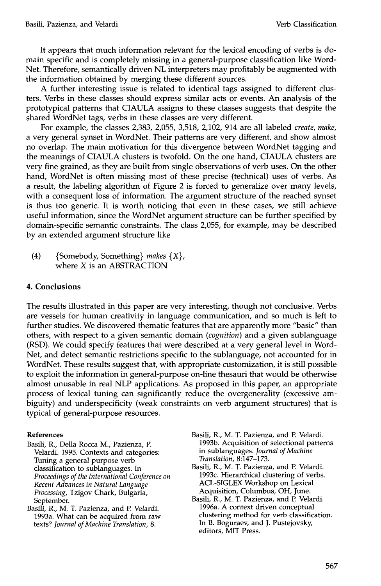It appears that much information relevant for the lexical encoding of verbs is domain specific and is completely missing in a general-purpose classification like Word-Net. Therefore, semantically driven NL interpreters may profitably be augmented with the information obtained by merging these different sources.

A further interesting issue is related to identical tags assigned to different clusters. Verbs in these classes should express similar acts or events. An analysis of the prototypical patterns that CIAULA assigns to these classes suggests that despite the shared WordNet tags, verbs in these classes are very different.

For example, the classes 2,383, 2,055, 3,518, 2,102, 914 are all labeled *create, make,*  a very general synset in WordNet. Their patterns are very different, and show almost no overlap. The main motivation for this divergence between WordNet tagging and the meanings of CIAULA clusters is twofold. On the one hand, CIAULA clusters are very fine grained, as they are built from single observations of verb uses. On the other hand, WordNet is often missing most of these precise (technical) uses of verbs. As a result, the labeling algorithm of Figure 2 is forced to generalize over many levels, with a consequent loss of information. The argument structure of the reached synset is thus too generic. It is worth noticing that even in these cases, we still achieve useful information, since the WordNet argument structure can be further specified by domain-specific semantic constraints. The class 2,055, for example, may be described by an extended argument structure like

(4) {Somebody, Something} *makes* {X}, where X is an ABSTRACTION

## **4. Conclusions**

The results illustrated in this paper are very interesting, though not conclusive. Verbs are vessels for human creativity in language communication, and so much is left to further studies. We discovered thematic features that are apparently more "basic" than others, with respect to a given semantic domain *(cognition)* and a given sublanguage (RSD). We could specify features that were described at a very general level in Word-Net, and detect semantic restrictions specific to the sublanguage, not accounted for in WordNet. These results suggest that, with appropriate customization, it is still possible to exploit the information in general-purpose on-line thesauri that would be otherwise almost unusable in real NLP applications. As proposed in this paper, an appropriate process of lexical tuning can significantly reduce the overgenerality (excessive ambiguity) and underspecificity (weak constraints on verb argument structures) that is typical of general-purpose resources.

#### **References**

Basili, R., Della Rocca M., Pazienza, P. Velardi. 1995. Contexts and categories: Tuning a general purpose verb classification to sublanguages. In *Proceedings of the International Conference on Recent Advances in Natural Language Processing,* Tzigov Chark, Bulgaria, September.

Basili, R., M. T. Pazienza, and P. Velardi. 1993a. What can be acquired from raw texts? *Journal of Machine Translation, 8.* 

- Basili, R., M. T. Pazienza, and P. Velardi. 1993b. Acquisition of selectional patterns in sublanguages. *Journal of Machine Translation,* 8:147-173.
- Basili, R., M. T. Pazienza, and P. Velardi. 1993c. Hierarchical clustering of verbs. ACL-SIGLEX Workshop on Lexical Acquisition, Columbus, OH, June.
- Basili, R., M. T. Pazienza, and P. Velardi. 1996a. A context driven conceptual clustering method for verb classification. In B. Boguraev, and J. Pustejovsky, editors, MIT Press.